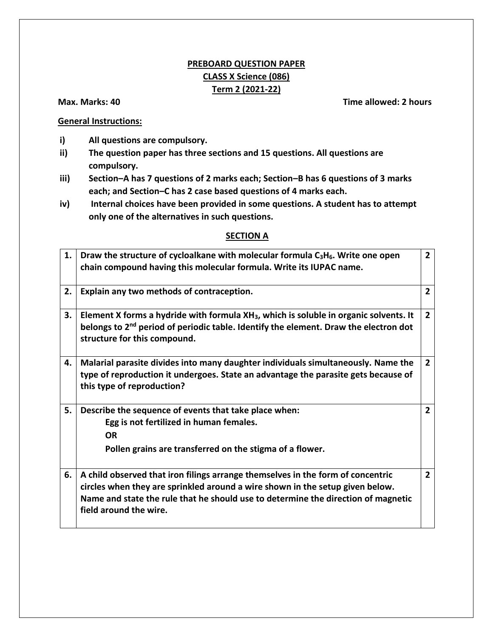# **PREBOARD QUESTION PAPER CLASS X Science (086) Term 2 (2021-22)**

#### **Max. Marks: 40 Time allowed: 2 hours**

### **General Instructions:**

- **i) All questions are compulsory.**
- **ii) The question paper has three sections and 15 questions. All questions are compulsory.**
- **iii) Section–A has 7 questions of 2 marks each; Section–B has 6 questions of 3 marks each; and Section–C has 2 case based questions of 4 marks each.**
- **iv) Internal choices have been provided in some questions. A student has to attempt only one of the alternatives in such questions.**

### **SECTION A**

|    | 1. | Draw the structure of cycloalkane with molecular formula $C_3H_6$ . Write one open<br>chain compound having this molecular formula. Write its IUPAC name.                                                                                                                       |                |  |  |  |
|----|----|---------------------------------------------------------------------------------------------------------------------------------------------------------------------------------------------------------------------------------------------------------------------------------|----------------|--|--|--|
|    | 2. | Explain any two methods of contraception.                                                                                                                                                                                                                                       |                |  |  |  |
|    | 3. | Element X forms a hydride with formula XH <sub>3</sub> , which is soluble in organic solvents. It<br>belongs to 2 <sup>nd</sup> period of periodic table. Identify the element. Draw the electron dot<br>structure for this compound.                                           | $\overline{2}$ |  |  |  |
| 4. |    | Malarial parasite divides into many daughter individuals simultaneously. Name the<br>type of reproduction it undergoes. State an advantage the parasite gets because of<br>this type of reproduction?                                                                           | $\overline{2}$ |  |  |  |
|    | 5. | Describe the sequence of events that take place when:<br>Egg is not fertilized in human females.<br><b>OR</b><br>Pollen grains are transferred on the stigma of a flower.                                                                                                       | $\overline{2}$ |  |  |  |
|    | 6. | A child observed that iron filings arrange themselves in the form of concentric<br>circles when they are sprinkled around a wire shown in the setup given below.<br>Name and state the rule that he should use to determine the direction of magnetic<br>field around the wire. | $\overline{2}$ |  |  |  |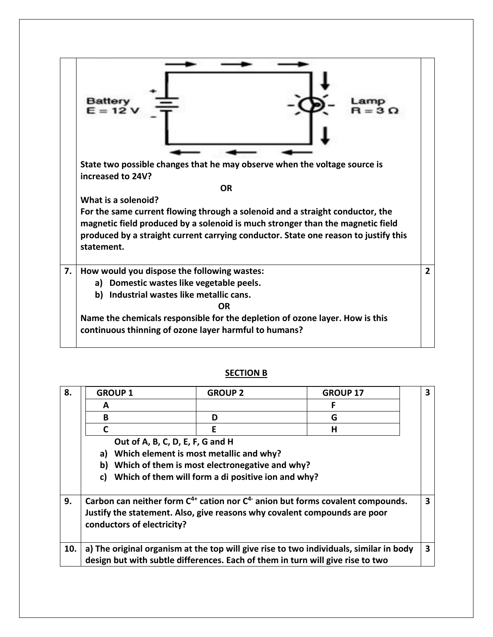

#### **SECTION B**

| 8.  | <b>GROUP 1</b>                                                                                                                                                                                   | <b>GROUP 2</b> | <b>GROUP 17</b> | $\overline{\mathbf{3}}$ |  |
|-----|--------------------------------------------------------------------------------------------------------------------------------------------------------------------------------------------------|----------------|-----------------|-------------------------|--|
|     | A                                                                                                                                                                                                |                | F               |                         |  |
|     | B                                                                                                                                                                                                | D              | G               |                         |  |
|     | C                                                                                                                                                                                                | Е              | н               |                         |  |
|     | Out of A, B, C, D, E, F, G and H                                                                                                                                                                 |                |                 |                         |  |
|     | Which element is most metallic and why?<br>a)                                                                                                                                                    |                |                 |                         |  |
|     | Which of them is most electronegative and why?<br>b)                                                                                                                                             |                |                 |                         |  |
|     | Which of them will form a di positive ion and why?<br>C)                                                                                                                                         |                |                 |                         |  |
| 9.  | Carbon can neither form $C^{4+}$ cation nor $C^4$ anion but forms covalent compounds.<br>Justify the statement. Also, give reasons why covalent compounds are poor<br>conductors of electricity? |                |                 |                         |  |
| 10. | a) The original organism at the top will give rise to two individuals, similar in body<br>design but with subtle differences. Each of them in turn will give rise to two                         |                |                 |                         |  |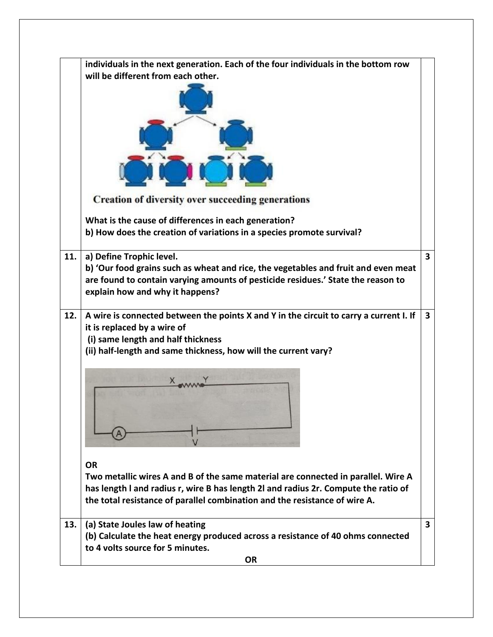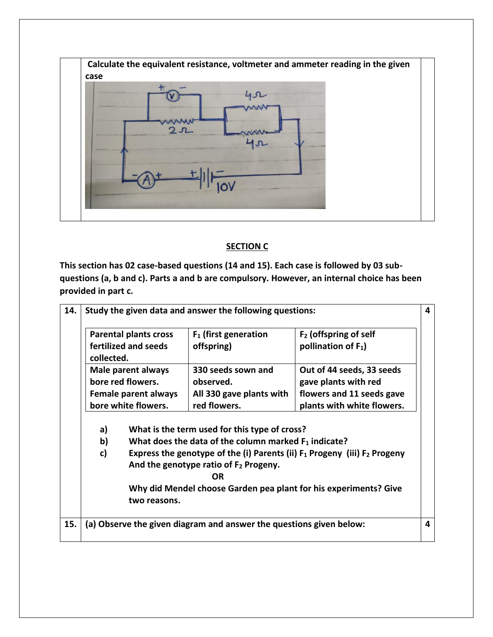

## **SECTION C**

**This section has 02 case-based questions (14 and 15). Each case is followed by 03 subquestions (a, b and c). Parts a and b are compulsory. However, an internal choice has been provided in part c.**

| 14. | Study the given data and answer the following questions:                         |                                                                                               |                                                                                            |                                                                                                              | 4 |  |
|-----|----------------------------------------------------------------------------------|-----------------------------------------------------------------------------------------------|--------------------------------------------------------------------------------------------|--------------------------------------------------------------------------------------------------------------|---|--|
|     | <b>Parental plants cross</b><br>fertilized and seeds<br>collected.               |                                                                                               | $F2$ (offspring of self<br>$F_1$ (first generation<br>pollination of $F_1$ )<br>offspring) |                                                                                                              |   |  |
|     |                                                                                  | Male parent always<br>bore red flowers.<br><b>Female parent always</b><br>bore white flowers. | 330 seeds sown and<br>observed.<br>All 330 gave plants with<br>red flowers.                | Out of 44 seeds, 33 seeds<br>gave plants with red<br>flowers and 11 seeds gave<br>plants with white flowers. |   |  |
|     | What is the term used for this type of cross?<br>a)                              |                                                                                               |                                                                                            |                                                                                                              |   |  |
|     | b)                                                                               | What does the data of the column marked $F_1$ indicate?                                       |                                                                                            |                                                                                                              |   |  |
|     | c)                                                                               |                                                                                               | And the genotype ratio of F <sub>2</sub> Progeny.<br><b>OR</b>                             | Express the genotype of the (i) Parents (ii) $F_1$ Progeny (iii) $F_2$ Progeny                               |   |  |
|     | Why did Mendel choose Garden pea plant for his experiments? Give<br>two reasons. |                                                                                               |                                                                                            |                                                                                                              |   |  |
| 15. |                                                                                  |                                                                                               | (a) Observe the given diagram and answer the questions given below:                        |                                                                                                              | 4 |  |